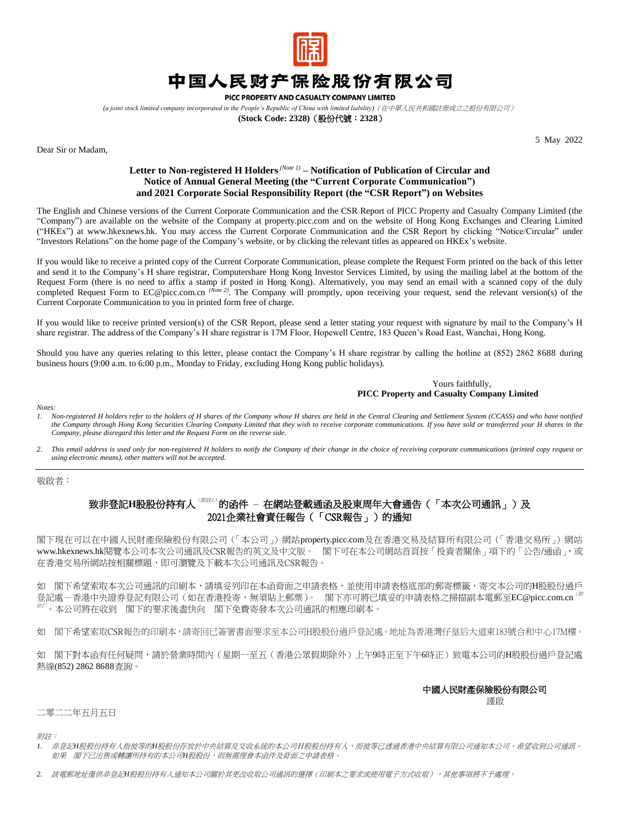

# 中国人民财产保险股份有限公司

PICC PROPERTY AND CASUALTY COMPANY LIMITED

*(a joint stock limited company incorporated in the People's Republic of China with limited liability)*(在中華人民共和國註冊成立之股份有限公司)

**(Stock Code: 2328)**(股份代號:**2328**)

Dear Sir or Madam,

5 May 2022

### **Letter to Non-registered H Holders***(Note 1)* **– Notification of Publication of Circular and Notice of Annual General Meeting (the "Current Corporate Communication") and 2021 Corporate Social Responsibility Report (the "CSR Report") on Websites**

The English and Chinese versions of the Current Corporate Communication and the CSR Report of PICC Property and Casualty Company Limited (the "Company") are available on the website of the Company at [property.picc.com](https://property.picc.com/) and on the website of Hong Kong Exchanges and Clearing Limited ("HKEx") at www.hkexnews.hk. You may access the Current Corporate Communication and the CSR Report by clicking "Notice/Circular" under "Investors Relations" on the home page of the Company's website, or by clicking the relevant titles as appeared on HKEx's website.

If you would like to receive a printed copy of the Current Corporate Communication, please complete the Request Form printed on the back of this letter and send it to the Company's H share registrar, Computershare Hong Kong Investor Services Limited, by using the mailing label at the bottom of the Request Form (there is no need to affix a stamp if posted in Hong Kong). Alternatively, you may send an email with a scanned copy of the duly completed Request Form to EC@picc.com.cn *(Note 2)*. The Company will promptly, upon receiving your request, send the relevant version(s) of the Current Corporate Communication to you in printed form free of charge.

If you would like to receive printed version(s) of the CSR Report, please send a letter stating your request with signature by mail to the Company's H share registrar. The address of the Company's H share registrar is 17M Floor, Hopewell Centre, 183 Queen's Road East, Wanchai, Hong Kong.

Should you have any queries relating to this letter, please contact the Company's H share registrar by calling the hotline at (852) 2862 8688 during business hours (9:00 a.m. to 6:00 p.m., Monday to Friday, excluding Hong Kong public holidays).

#### Yours faithfully, **PICC Property and Casualty Company Limited**

*Notes:*

*1. Non-registered H holders refer to the holders of H shares of the Company whose H shares are held in the Central Clearing and Settlement System (CCASS) and who have notified the Company through Hong Kong Securities Clearing Company Limited that they wish to receive corporate communications. If you have sold or transferred your H shares in the Company, please disregard this letter and the Request Form on the reverse side.*

*<i>2. This email address is used only for non-registered H holders to notify the Company of their change in the choice of receiving corporate communications (printed copy request or using electronic means), other matters will not be accepted.*

敬啟者:

## 致非登記H股股份持有人<sup>(附註1)</sup>的函件 – 在網站登載通函及股東周年大會通告(「本次公司通訊」)及 2021企業社會責任報告(「CSR報告」)的通知

閣下現在可以在中國人民財產保險股份有限公司(「本公司」)網站[property.picc.com](https://property.picc.com/)及在香港交易及結算所有限公司(「香港交易所」)網站 [www.hkexnews.hk](http://www.hkexnews.hk/index_c.htm)閱覽本公司本次公司通訊及CSR報告的英文及中文版。 閣下可在本公司網站首頁按「投資者關係」項下的「公告/通函」,或 在香港交易所網站按相關標題,即可瀏覽及下載本次公司通訊及CSR報告。

如 閣下希望索取本次公司通訊的印刷本,請填妥列印在本函背面之申請表格,並使用申請表格底部的郵寄標籤,寄交本公司的H股股份過戶 登記處-香港中央證券登記有限公司(如在香港投寄,無須貼上郵票)。 閣下亦可將已填妥的申請表格之掃描副本電郵至[EC@picc.com.cn](mailto:EC@picc.com.cn)<sup>(例</sup> <sup>註</sup>2)。本公司將在收到 閣下的要求後盡快向 閣下免費寄發本次公司通訊的相應印刷本。

如 閣下希望索取CSR報告的印刷本,請寄回已簽署書面要求至本公司H股股份過戶登記處。地址為香港灣仔皇后大道東183號合和中心17M樓。

如 閣下對本函有任何疑問,請於營業時間内(星期一至五(香港公眾假期除外)上午9時正至下午6時正)致電本公司的H股股份過戶登記處 熱線(852) 2862 8688查詢。

### 中國人民財產保險股份有限公司

謹啟

#### 二零二二年五月五日

附註:

- *1.* 非登記*H*股股份持有人指彼等的*H*股股份存放於中央結算及交收系統的本公司H股股份持有人,而彼等已透過香港中央結算有限公司通知本公司,希望收到公司通訊。 如果 閣下已出售或轉讓所持有的本公司*H*股股份,則無需理會本函件及背面之申請表格。
- 2. 該電郵地址僅供非登記H股股份持有人通知本公司關於其更改收取公司通訊的選擇(印刷本之要求或使用電子方式收取),其他事項將不予處理。